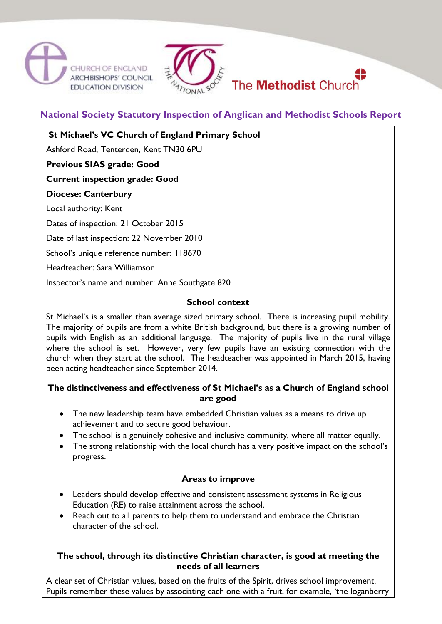





**National Society Statutory Inspection of Anglican and Methodist Schools Report**

**St Michael's VC Church of England Primary School**

Ashford Road, Tenterden, Kent TN30 6PU

**Previous SIAS grade: Good**

**Current inspection grade: Good**

**Diocese: Canterbury**

Local authority: Kent

Dates of inspection: 21 October 2015

Date of last inspection: 22 November 2010

School's unique reference number: 118670

Headteacher: Sara Williamson

Inspector's name and number: Anne Southgate 820

# **School context**

St Michael's is a smaller than average sized primary school. There is increasing pupil mobility. The majority of pupils are from a white British background, but there is a growing number of pupils with English as an additional language. The majority of pupils live in the rural village where the school is set. However, very few pupils have an existing connection with the church when they start at the school. The headteacher was appointed in March 2015, having been acting headteacher since September 2014.

# **The distinctiveness and effectiveness of St Michael's as a Church of England school are good**

- The new leadership team have embedded Christian values as a means to drive up achievement and to secure good behaviour.
- The school is a genuinely cohesive and inclusive community, where all matter equally.
- The strong relationship with the local church has a very positive impact on the school's progress.

# **Areas to improve**

- Leaders should develop effective and consistent assessment systems in Religious Education (RE) to raise attainment across the school.
- Reach out to all parents to help them to understand and embrace the Christian character of the school.

# **The school, through its distinctive Christian character, is good at meeting the needs of all learners**

A clear set of Christian values, based on the fruits of the Spirit, drives school improvement. Pupils remember these values by associating each one with a fruit, for example, 'the loganberry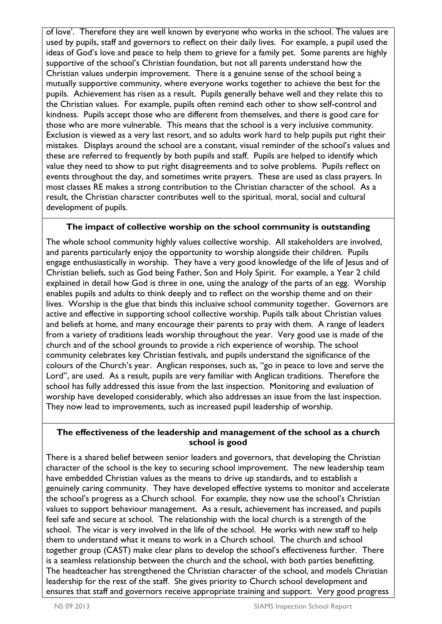of love'. Therefore they are well known by everyone who works in the school. The values are used by pupils, staff and governors to reflect on their daily lives. For example, a pupil used the ideas of God's love and peace to help them to grieve for a family pet. Some parents are highly supportive of the school's Christian foundation, but not all parents understand how the Christian values underpin improvement. There is a genuine sense of the school being a mutually supportive community, where everyone works together to achieve the best for the pupils. Achievement has risen as a result. Pupils generally behave well and they relate this to the Christian values. For example, pupils often remind each other to show self-control and kindness. Pupils accept those who are different from themselves, and there is good care for those who are more vulnerable. This means that the school is a very inclusive community. Exclusion is viewed as a very last resort, and so adults work hard to help pupils put right their mistakes. Displays around the school are a constant, visual reminder of the school's values and these are referred to frequently by both pupils and staff. Pupils are helped to identify which value they need to show to put right disagreements and to solve problems. Pupils reflect on events throughout the day, and sometimes write prayers. These are used as class prayers. In most classes RE makes a strong contribution to the Christian character of the school. As a result, the Christian character contributes well to the spiritual, moral, social and cultural development of pupils.

# **The impact of collective worship on the school community is outstanding**

The whole school community highly values collective worship. All stakeholders are involved, and parents particularly enjoy the opportunity to worship alongside their children. Pupils engage enthusiastically in worship. They have a very good knowledge of the life of Jesus and of Christian beliefs, such as God being Father, Son and Holy Spirit. For example, a Year 2 child explained in detail how God is three in one, using the analogy of the parts of an egg. Worship enables pupils and adults to think deeply and to reflect on the worship theme and on their lives. Worship is the glue that binds this inclusive school community together. Governors are active and effective in supporting school collective worship. Pupils talk about Christian values and beliefs at home, and many encourage their parents to pray with them. A range of leaders from a variety of traditions leads worship throughout the year. Very good use is made of the church and of the school grounds to provide a rich experience of worship. The school community celebrates key Christian festivals, and pupils understand the significance of the colours of the Church's year. Anglican responses, such as, "go in peace to love and serve the Lord", are used. As a result, pupils are very familiar with Anglican traditions. Therefore the school has fully addressed this issue from the last inspection. Monitoring and evaluation of worship have developed considerably, which also addresses an issue from the last inspection. They now lead to improvements, such as increased pupil leadership of worship.

# **The effectiveness of the leadership and management of the school as a church school is good**

There is a shared belief between senior leaders and governors, that developing the Christian character of the school is the key to securing school improvement. The new leadership team have embedded Christian values as the means to drive up standards, and to establish a genuinely caring community. They have developed effective systems to monitor and accelerate the school's progress as a Church school. For example, they now use the school's Christian values to support behaviour management. As a result, achievement has increased, and pupils feel safe and secure at school. The relationship with the local church is a strength of the school. The vicar is very involved in the life of the school. He works with new staff to help them to understand what it means to work in a Church school. The church and school together group (CAST) make clear plans to develop the school's effectiveness further. There is a seamless relationship between the church and the school, with both parties benefitting. The headteacher has strengthened the Christian character of the school, and models Christian leadership for the rest of the staff. She gives priority to Church school development and ensures that staff and governors receive appropriate training and support. Very good progress